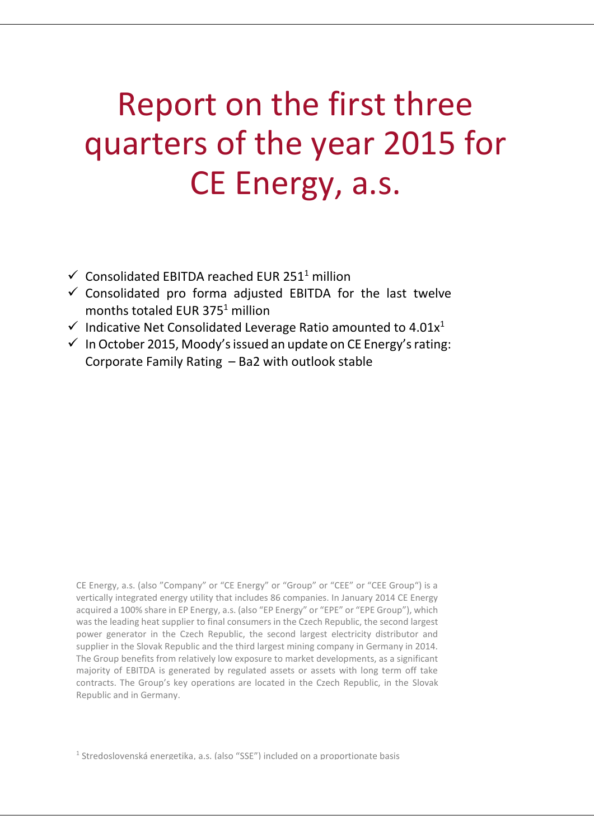# Report on the first three quarters of the year 2015 for CE Energy, a.s.

- $\checkmark$  Consolidated EBITDA reached EUR 251<sup>1</sup> million
- $\checkmark$  Consolidated pro forma adjusted EBITDA for the last twelve months totaled EUR  $375<sup>1</sup>$  million
- $\checkmark$  Indicative Net Consolidated Leverage Ratio amounted to 4.01 $x^1$
- $\checkmark$  In October 2015, Moody's issued an update on CE Energy's rating: Corporate Family Rating – Ba2 with outlook stable

CE Energy, a.s. (also "Company" or "CE Energy" or "Group" or "CEE" or "CEE Group") is a vertically integrated energy utility that includes 86 companies. In January 2014 CE Energy acquired a 100% share in EP Energy, a.s. (also "EP Energy" or "EPE" or "EPE Group"), which was the leading heat supplier to final consumers in the Czech Republic, the second largest power generator in the Czech Republic, the second largest electricity distributor and supplier in the Slovak Republic and the third largest mining company in Germany in 2014. The Group benefits from relatively low exposure to market developments, as a significant majority of EBITDA is generated by regulated assets or assets with long term off take contracts. The Group's key operations are located in the Czech Republic, in the Slovak Republic and in Germany.

<sup>1</sup> Stredoslovenská energetika, a.s. (also "SSE") included on a proportionate basis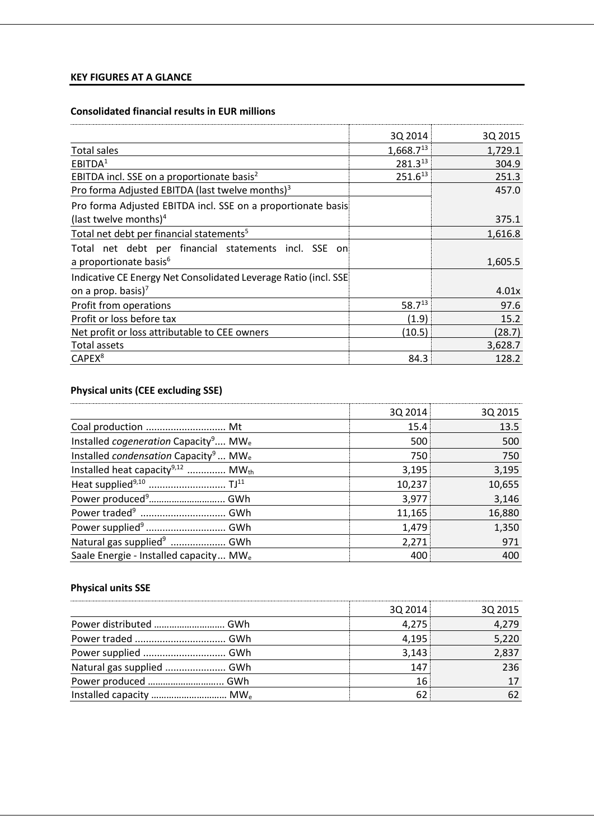## **KEY FIGURES AT A GLANCE**

## **Consolidated financial results in EUR millions**

|                                                                 | 3Q 2014               | 3Q 2015 |
|-----------------------------------------------------------------|-----------------------|---------|
| <b>Total sales</b>                                              | 1,668.7 <sup>13</sup> | 1,729.1 |
| EBITDA <sup>1</sup>                                             | 281.313               | 304.9   |
| EBITDA incl. SSE on a proportionate basis <sup>2</sup>          | $251.6^{13}$          | 251.3   |
| Pro forma Adjusted EBITDA (last twelve months) <sup>3</sup>     |                       | 457.0   |
| Pro forma Adjusted EBITDA incl. SSE on a proportionate basis    |                       |         |
| (last twelve months) <sup>4</sup>                               |                       | 375.1   |
| Total net debt per financial statements <sup>5</sup>            |                       | 1,616.8 |
| Total net debt per financial statements incl. SSE on            |                       |         |
| a proportionate basis <sup>6</sup>                              |                       | 1,605.5 |
| Indicative CE Energy Net Consolidated Leverage Ratio (incl. SSE |                       |         |
| on a prop. basis) <sup>7</sup>                                  |                       | 4.01x   |
| Profit from operations                                          | $58.7^{13}$           | 97.6    |
| Profit or loss before tax                                       | (1.9)                 | 15.2    |
| Net profit or loss attributable to CEE owners                   | (10.5)                | (28.7)  |
| Total assets                                                    |                       | 3,628.7 |
| CAPEX <sup>8</sup>                                              | 84.3                  | 128.2   |

## **Physical units (CEE excluding SSE)**

|                                                                     | 3Q 2014 | 3Q 2015 |
|---------------------------------------------------------------------|---------|---------|
| Coal production  Mt                                                 | 15.4    | 13.5    |
| Installed cogeneration Capacity <sup>9</sup> MW <sub>e</sub>        | 500     | 500     |
| Installed <i>condensation</i> Capacity <sup>9</sup> MW <sub>e</sub> | 750     | 750     |
| Installed heat capacity <sup>9,12</sup> MW <sub>th</sub>            | 3,195   | 3,195   |
|                                                                     | 10,237  | 10,655  |
|                                                                     | 3,977   | 3,146   |
|                                                                     | 11,165  | 16,880  |
|                                                                     | 1,479   | 1,350   |
| Natural gas supplied <sup>9</sup> GWh                               | 2,271   | 971     |
| Saale Energie - Installed capacity MW <sub>e</sub>                  | 400     | 400     |

## **Physical units SSE**

|                                     | 3Q 2014 | 3Q 2015 |
|-------------------------------------|---------|---------|
| Power distributed  GWh              | 4,275   | 4,279   |
|                                     | 4,195   | 5,220   |
|                                     | 3,143   | 2,837   |
| Natural gas supplied  GWh           | 147     | 236     |
|                                     | 16      |         |
| Installed capacity  MW <sub>e</sub> | 62      |         |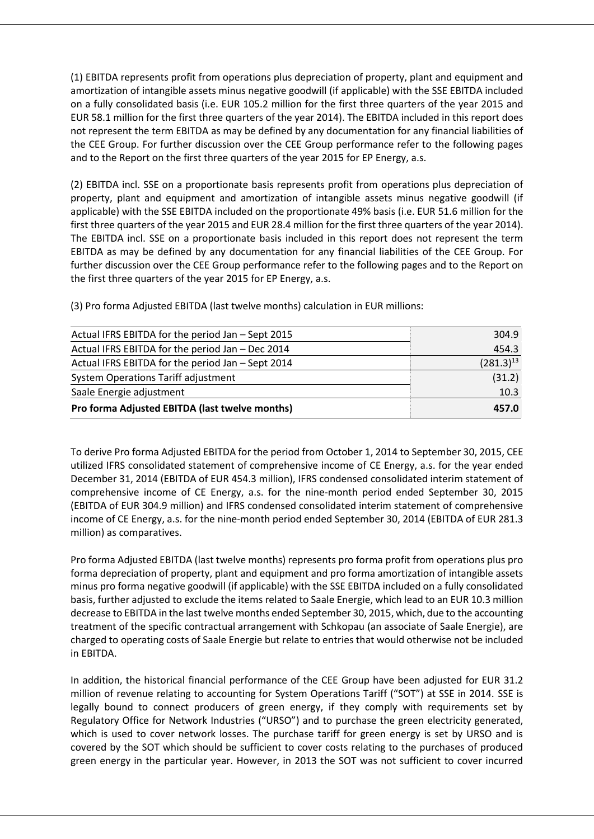(1) EBITDA represents profit from operations plus depreciation of property, plant and equipment and amortization of intangible assets minus negative goodwill (if applicable) with the SSE EBITDA included on a fully consolidated basis (i.e. EUR 105.2 million for the first three quarters of the year 2015 and EUR 58.1 million for the first three quarters of the year 2014). The EBITDA included in this report does not represent the term EBITDA as may be defined by any documentation for any financial liabilities of the CEE Group. For further discussion over the CEE Group performance refer to the following pages and to the Report on the first three quarters of the year 2015 for EP Energy, a.s.

(2) EBITDA incl. SSE on a proportionate basis represents profit from operations plus depreciation of property, plant and equipment and amortization of intangible assets minus negative goodwill (if applicable) with the SSE EBITDA included on the proportionate 49% basis (i.e. EUR 51.6 million for the first three quarters of the year 2015 and EUR 28.4 million for the first three quarters of the year 2014). The EBITDA incl. SSE on a proportionate basis included in this report does not represent the term EBITDA as may be defined by any documentation for any financial liabilities of the CEE Group. For further discussion over the CEE Group performance refer to the following pages and to the Report on the first three quarters of the year 2015 for EP Energy, a.s.

(3) Pro forma Adjusted EBITDA (last twelve months) calculation in EUR millions:

| Actual IFRS EBITDA for the period Jan - Sept 2015 | 304.9          |
|---------------------------------------------------|----------------|
| Actual IFRS EBITDA for the period Jan - Dec 2014  | 454.3          |
| Actual IFRS EBITDA for the period Jan - Sept 2014 | $(281.3)^{13}$ |
| <b>System Operations Tariff adjustment</b>        | (31.2)         |
| Saale Energie adjustment                          | 10.3           |
| Pro forma Adjusted EBITDA (last twelve months)    | 457.0          |

To derive Pro forma Adjusted EBITDA for the period from October 1, 2014 to September 30, 2015, CEE utilized IFRS consolidated statement of comprehensive income of CE Energy, a.s. for the year ended December 31, 2014 (EBITDA of EUR 454.3 million), IFRS condensed consolidated interim statement of comprehensive income of CE Energy, a.s. for the nine-month period ended September 30, 2015 (EBITDA of EUR 304.9 million) and IFRS condensed consolidated interim statement of comprehensive income of CE Energy, a.s. for the nine-month period ended September 30, 2014 (EBITDA of EUR 281.3 million) as comparatives.

Pro forma Adjusted EBITDA (last twelve months) represents pro forma profit from operations plus pro forma depreciation of property, plant and equipment and pro forma amortization of intangible assets minus pro forma negative goodwill (if applicable) with the SSE EBITDA included on a fully consolidated basis, further adjusted to exclude the items related to Saale Energie, which lead to an EUR 10.3 million decrease to EBITDA in the last twelve months ended September 30, 2015, which, due to the accounting treatment of the specific contractual arrangement with Schkopau (an associate of Saale Energie), are charged to operating costs of Saale Energie but relate to entries that would otherwise not be included in EBITDA.

In addition, the historical financial performance of the CEE Group have been adjusted for EUR 31.2 million of revenue relating to accounting for System Operations Tariff ("SOT") at SSE in 2014. SSE is legally bound to connect producers of green energy, if they comply with requirements set by Regulatory Office for Network Industries ("URSO") and to purchase the green electricity generated, which is used to cover network losses. The purchase tariff for green energy is set by URSO and is covered by the SOT which should be sufficient to cover costs relating to the purchases of produced green energy in the particular year. However, in 2013 the SOT was not sufficient to cover incurred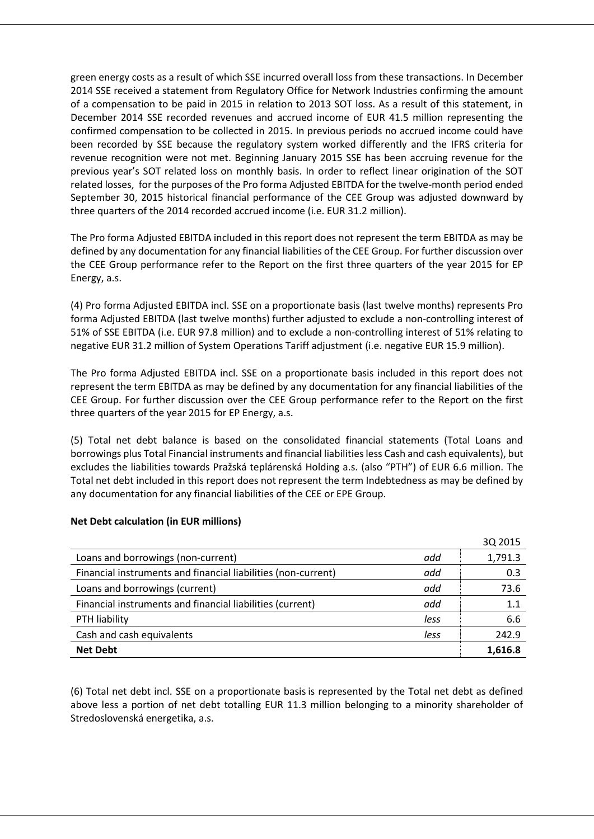green energy costs as a result of which SSE incurred overall loss from these transactions. In December 2014 SSE received a statement from Regulatory Office for Network Industries confirming the amount of a compensation to be paid in 2015 in relation to 2013 SOT loss. As a result of this statement, in December 2014 SSE recorded revenues and accrued income of EUR 41.5 million representing the confirmed compensation to be collected in 2015. In previous periods no accrued income could have been recorded by SSE because the regulatory system worked differently and the IFRS criteria for revenue recognition were not met. Beginning January 2015 SSE has been accruing revenue for the previous year's SOT related loss on monthly basis. In order to reflect linear origination of the SOT related losses, for the purposes of the Pro forma Adjusted EBITDA for the twelve-month period ended September 30, 2015 historical financial performance of the CEE Group was adjusted downward by three quarters of the 2014 recorded accrued income (i.e. EUR 31.2 million).

The Pro forma Adjusted EBITDA included in this report does not represent the term EBITDA as may be defined by any documentation for any financial liabilities of the CEE Group. For further discussion over the CEE Group performance refer to the Report on the first three quarters of the year 2015 for EP Energy, a.s.

(4) Pro forma Adjusted EBITDA incl. SSE on a proportionate basis (last twelve months) represents Pro forma Adjusted EBITDA (last twelve months) further adjusted to exclude a non-controlling interest of 51% of SSE EBITDA (i.e. EUR 97.8 million) and to exclude a non-controlling interest of 51% relating to negative EUR 31.2 million of System Operations Tariff adjustment (i.e. negative EUR 15.9 million).

The Pro forma Adjusted EBITDA incl. SSE on a proportionate basis included in this report does not represent the term EBITDA as may be defined by any documentation for any financial liabilities of the CEE Group. For further discussion over the CEE Group performance refer to the Report on the first three quarters of the year 2015 for EP Energy, a.s.

(5) Total net debt balance is based on the consolidated financial statements (Total Loans and borrowings plus Total Financial instruments and financial liabilities less Cash and cash equivalents), but excludes the liabilities towards Pražská teplárenská Holding a.s. (also "PTH") of EUR 6.6 million. The Total net debt included in this report does not represent the term Indebtedness as may be defined by any documentation for any financial liabilities of the CEE or EPE Group.

|                                                               |      | 3Q 2015 |
|---------------------------------------------------------------|------|---------|
| Loans and borrowings (non-current)                            | add  | 1,791.3 |
| Financial instruments and financial liabilities (non-current) | add  | 0.3     |
| Loans and borrowings (current)                                | add  | 73.6    |
| Financial instruments and financial liabilities (current)     | add  | 1.1     |
| PTH liability                                                 | less | 6.6     |
| Cash and cash equivalents                                     | less | 242.9   |
| <b>Net Debt</b>                                               |      | 1.616.8 |

#### **Net Debt calculation (in EUR millions)**

(6) Total net debt incl. SSE on a proportionate basis is represented by the Total net debt as defined above less a portion of net debt totalling EUR 11.3 million belonging to a minority shareholder of Stredoslovenská energetika, a.s.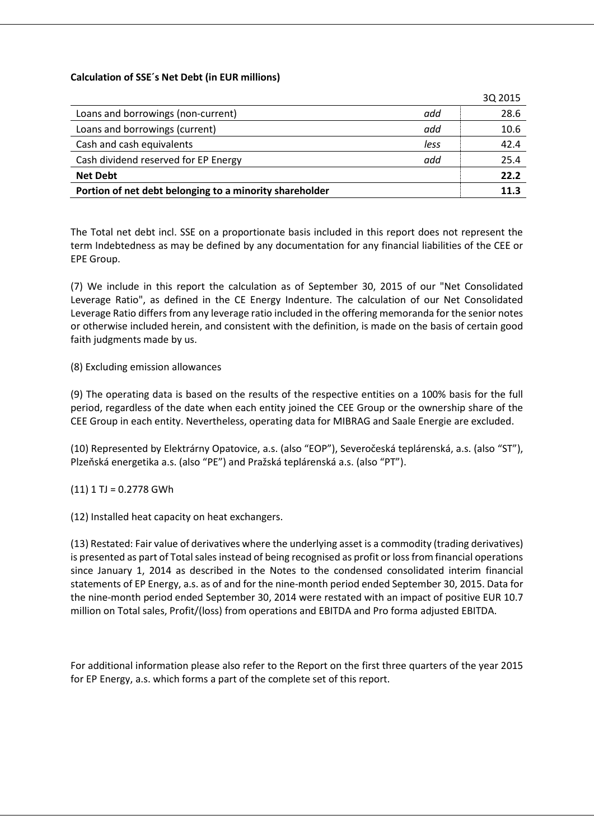#### **Calculation of SSE´s Net Debt (in EUR millions)**

|                                                         |      | 3Q 2015 |
|---------------------------------------------------------|------|---------|
| Loans and borrowings (non-current)                      | add  | 28.6    |
| Loans and borrowings (current)                          | add  | 10.6    |
| Cash and cash equivalents                               | less | 42.4    |
| Cash dividend reserved for EP Energy                    | add  | 25.4    |
| <b>Net Debt</b>                                         |      | 22.2    |
| Portion of net debt belonging to a minority shareholder |      | 11.3    |

The Total net debt incl. SSE on a proportionate basis included in this report does not represent the term Indebtedness as may be defined by any documentation for any financial liabilities of the CEE or EPE Group.

(7) We include in this report the calculation as of September 30, 2015 of our "Net Consolidated Leverage Ratio", as defined in the CE Energy Indenture. The calculation of our Net Consolidated Leverage Ratio differs from any leverage ratio included in the offering memoranda for the senior notes or otherwise included herein, and consistent with the definition, is made on the basis of certain good faith judgments made by us.

#### (8) Excluding emission allowances

(9) The operating data is based on the results of the respective entities on a 100% basis for the full period, regardless of the date when each entity joined the CEE Group or the ownership share of the CEE Group in each entity. Nevertheless, operating data for MIBRAG and Saale Energie are excluded.

(10) Represented by Elektrárny Opatovice, a.s. (also "EOP"), Severočeská teplárenská, a.s. (also "ST"), Plzeňská energetika a.s. (also "PE") and Pražská teplárenská a.s. (also "PT").

#### $(11)$  1 TJ = 0.2778 GWh

(12) Installed heat capacity on heat exchangers.

(13) Restated: Fair value of derivatives where the underlying asset is a commodity (trading derivatives) is presented as part of Total sales instead of being recognised as profit or loss from financial operations since January 1, 2014 as described in the Notes to the condensed consolidated interim financial statements of EP Energy, a.s. as of and for the nine-month period ended September 30, 2015. Data for the nine-month period ended September 30, 2014 were restated with an impact of positive EUR 10.7 million on Total sales, Profit/(loss) from operations and EBITDA and Pro forma adjusted EBITDA.

For additional information please also refer to the Report on the first three quarters of the year 2015 for EP Energy, a.s. which forms a part of the complete set of this report.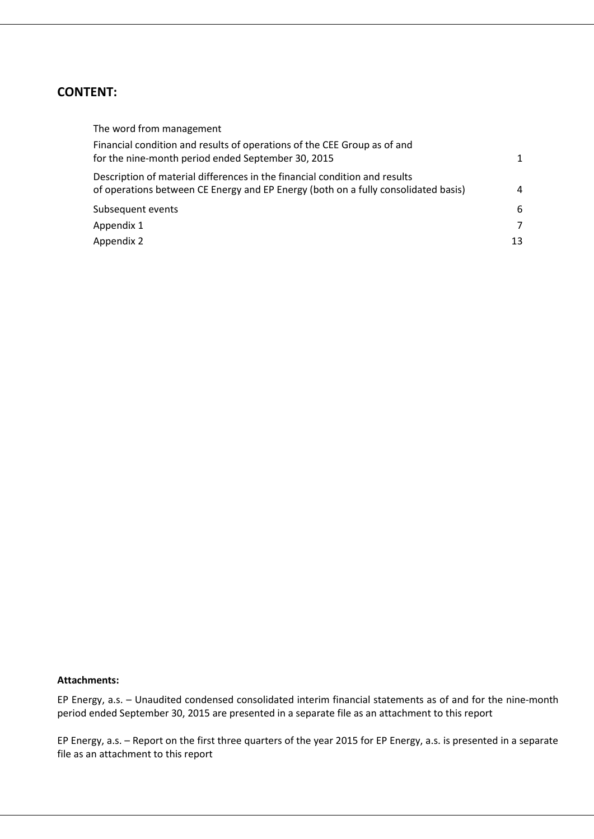## **CONTENT:**

| The word from management                                                                                                                                         |              |
|------------------------------------------------------------------------------------------------------------------------------------------------------------------|--------------|
| Financial condition and results of operations of the CEE Group as of and<br>for the nine-month period ended September 30, 2015                                   | $\mathbf{1}$ |
| Description of material differences in the financial condition and results<br>of operations between CE Energy and EP Energy (both on a fully consolidated basis) | 4            |
| Subsequent events                                                                                                                                                | 6            |
| Appendix 1                                                                                                                                                       | 7            |
| Appendix 2                                                                                                                                                       | 13           |

#### **Attachments:**

EP Energy, a.s. – Unaudited condensed consolidated interim financial statements as of and for the nine-month period ended September 30, 2015 are presented in a separate file as an attachment to this report

EP Energy, a.s. – Report on the first three quarters of the year 2015 for EP Energy, a.s. is presented in a separate file as an attachment to this report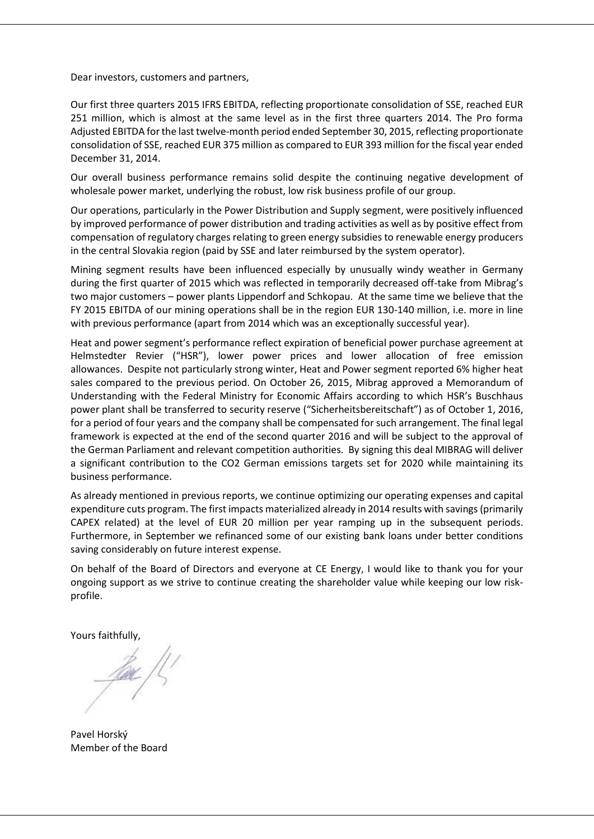Dear investors, customers and partners,

Our first three quarters 2015 IFRS EBITDA, reflecting proportionate consolidation of SSE, reached EUR 251 million, which is almost at the same level as in the first three quarters 2014. The Pro forma Adjusted EBITDA for the last twelve-month period ended September 30, 2015, reflecting proportionate consolidation of SSE, reached EUR 375 million as compared to EUR 393 million for the fiscal year ended December 31, 2014.

Our overall business performance remains solid despite the continuing negative development of wholesale power market, underlying the robust, low risk business profile of our group.

Our operations, particularly in the Power Distribution and Supply segment, were positively influenced by improved performance of power distribution and trading activities as well as by positive effect from compensation of regulatory charges relating to green energy subsidies to renewable energy producers in the central Slovakia region (paid by SSE and later reimbursed by the system operator).

Mining segment results have been influenced especially by unusually windy weather in Germany during the first quarter of 2015 which was reflected in temporarily decreased off-take from Mibrag's two major customers – power plants Lippendorf and Schkopau. At the same time we believe that the FY 2015 EBITDA of our mining operations shall be in the region EUR 130-140 million, i.e. more in line with previous performance (apart from 2014 which was an exceptionally successful year).

Heat and power segment's performance reflect expiration of beneficial power purchase agreement at Helmstedter Revier ("HSR"), lower power prices and lower allocation of free emission allowances. Despite not particularly strong winter, Heat and Power segment reported 6% higher heat sales compared to the previous period. On October 26, 2015, Mibrag approved a Memorandum of Understanding with the Federal Ministry for Economic Affairs according to which HSR's Buschhaus power plant shall be transferred to security reserve ("Sicherheitsbereitschaft") as of October 1, 2016, for a period of four years and the company shall be compensated for such arrangement. The final legal framework is expected at the end of the second quarter 2016 and will be subject to the approval of the German Parliament and relevant competition authorities. By signing this deal MIBRAG will deliver a significant contribution to the CO2 German emissions targets set for 2020 while maintaining its business performance.

As already mentioned in previous reports, we continue optimizing our operating expenses and capital expenditure cuts program. The first impacts materialized already in 2014 results with savings (primarily CAPEX related) at the level of EUR 20 million per year ramping up in the subsequent periods. Furthermore, in September we refinanced some of our existing bank loans under better conditions saving considerably on future interest expense.

On behalf of the Board of Directors and everyone at CE Energy, I would like to thank you for your ongoing support as we strive to continue creating the shareholder value while keeping our low riskprofile.

Yours faithfully,

<u>Jac </u>/L'

Pavel Horský Member of the Board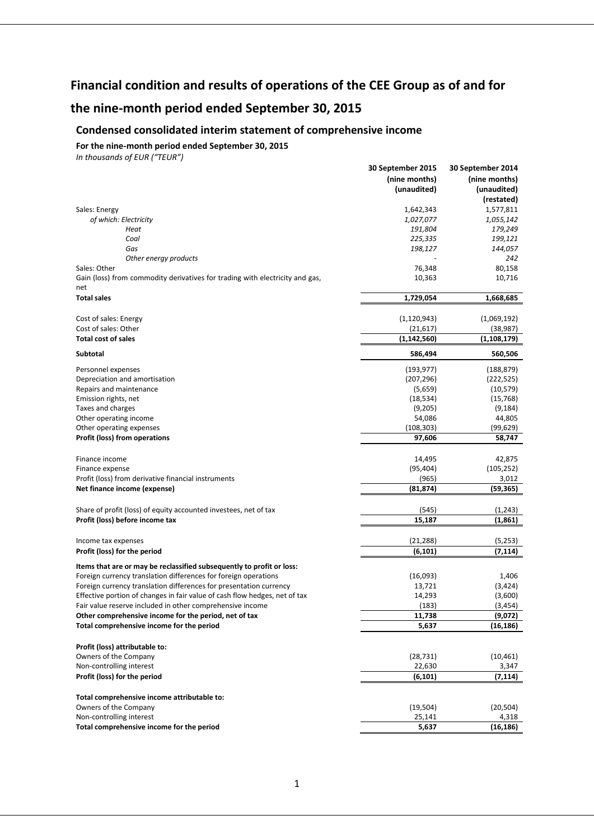## **Financial condition and results of operations of the CEE Group as of and for**

## **the nine-month period ended September 30, 2015**

## **Condensed consolidated interim statement of comprehensive income**

#### **For the nine-month period ended September 30, 2015**

|                                                                                                     | 30 September 2015 | 30 September 2014    |
|-----------------------------------------------------------------------------------------------------|-------------------|----------------------|
|                                                                                                     | (nine months)     | (nine months)        |
|                                                                                                     | (unaudited)       | (unaudited)          |
|                                                                                                     |                   | (restated)           |
| Sales: Energy                                                                                       | 1,642,343         | 1,577,811            |
| of which: Electricity                                                                               | 1,027,077         | 1,055,142            |
| Heat                                                                                                | 191,804           | 179,249              |
| Coal                                                                                                | 225,335           | 199,121              |
| Gas                                                                                                 | 198,127           | 144,057              |
| Other energy products                                                                               |                   | 242                  |
| Sales: Other                                                                                        | 76,348            | 80,158               |
| Gain (loss) from commodity derivatives for trading with electricity and gas,                        | 10,363            | 10,716               |
| net                                                                                                 |                   |                      |
| <b>Total sales</b>                                                                                  | 1,729,054         | 1,668,685            |
| Cost of sales: Energy                                                                               | (1, 120, 943)     | (1,069,192)          |
| Cost of sales: Other                                                                                | (21, 617)         | (38, 987)            |
| <b>Total cost of sales</b>                                                                          | (1, 142, 560)     | (1, 108, 179)        |
|                                                                                                     |                   |                      |
| <b>Subtotal</b>                                                                                     | 586,494           | 560,506              |
| Personnel expenses                                                                                  | (193, 977)        | (188, 879)           |
| Depreciation and amortisation                                                                       | (207, 296)        | (222, 525)           |
| Repairs and maintenance                                                                             | (5,659)           | (10, 579)            |
| Emission rights, net                                                                                | (18, 534)         | (15, 768)            |
| Taxes and charges                                                                                   | (9,205)           | (9, 184)             |
| Other operating income                                                                              | 54,086            | 44,805               |
| Other operating expenses                                                                            | (108, 303)        | (99, 629)            |
| <b>Profit (loss) from operations</b>                                                                | 97,606            | 58,747               |
|                                                                                                     |                   |                      |
| Finance income                                                                                      | 14,495            | 42,875               |
| Finance expense                                                                                     | (95, 404)         | (105, 252)           |
| Profit (loss) from derivative financial instruments                                                 | (965)             | 3,012                |
| Net finance income (expense)                                                                        | (81,874)          | (59,365)             |
|                                                                                                     |                   |                      |
| Share of profit (loss) of equity accounted investees, net of tax<br>Profit (loss) before income tax | (545)<br>15,187   | (1, 243)<br>(1, 861) |
|                                                                                                     |                   |                      |
| Income tax expenses                                                                                 | (21, 288)         | (5,253)              |
| Profit (loss) for the period                                                                        | (6, 101)          | (7, 114)             |
|                                                                                                     |                   |                      |
| Items that are or may be reclassified subsequently to profit or loss:                               |                   |                      |
| Foreign currency translation differences for foreign operations                                     | (16,093)          | 1,406                |
| Foreign currency translation differences for presentation currency                                  | 13,721            | (3, 424)             |
| Effective portion of changes in fair value of cash flow hedges, net of tax                          | 14,293            | (3,600)              |
| Fair value reserve included in other comprehensive income                                           | (183)             | (3, 454)             |
| Other comprehensive income for the period, net of tax                                               | 11,738            | (9,072)              |
| Total comprehensive income for the period                                                           | 5,637             | (16, 186)            |
|                                                                                                     |                   |                      |
| Profit (loss) attributable to:                                                                      |                   |                      |
| Owners of the Company                                                                               | (28, 731)         | (10, 461)            |
| Non-controlling interest                                                                            | 22,630            | 3,347                |
| Profit (loss) for the period                                                                        | (6, 101)          | (7, 114)             |
| Total comprehensive income attributable to:                                                         |                   |                      |
| Owners of the Company                                                                               | (19, 504)         | (20, 504)            |
| Non-controlling interest                                                                            | 25,141            | 4,318                |
| Total comprehensive income for the period                                                           | 5,637             | (16, 186)            |
|                                                                                                     |                   |                      |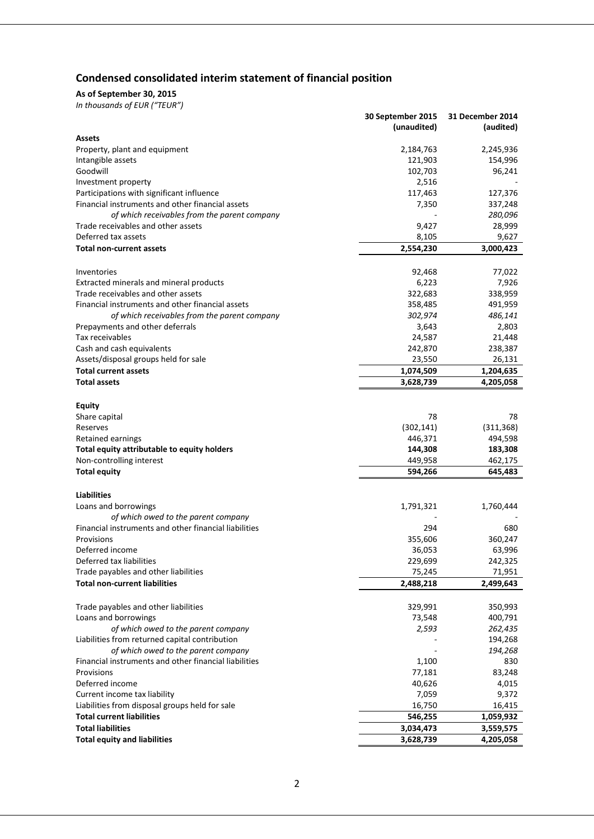## **Condensed consolidated interim statement of financial position**

#### **As of September 30, 2015**

|                                                                                              | 30 September 2015 | 31 December 2014  |
|----------------------------------------------------------------------------------------------|-------------------|-------------------|
|                                                                                              | (unaudited)       | (audited)         |
| Assets                                                                                       |                   |                   |
| Property, plant and equipment                                                                | 2,184,763         | 2,245,936         |
| Intangible assets                                                                            | 121,903           | 154,996           |
| Goodwill                                                                                     | 102,703           | 96,241            |
| Investment property                                                                          | 2,516             |                   |
| Participations with significant influence                                                    | 117,463           | 127,376           |
| Financial instruments and other financial assets                                             | 7,350             | 337,248           |
| of which receivables from the parent company                                                 |                   | 280,096           |
| Trade receivables and other assets                                                           | 9,427             | 28,999            |
| Deferred tax assets                                                                          | 8,105             | 9,627             |
| <b>Total non-current assets</b>                                                              | 2,554,230         | 3,000,423         |
|                                                                                              |                   |                   |
| Inventories                                                                                  | 92,468            | 77,022            |
| Extracted minerals and mineral products                                                      | 6,223             | 7,926             |
| Trade receivables and other assets                                                           | 322,683           | 338,959           |
| Financial instruments and other financial assets                                             | 358,485           | 491,959           |
| of which receivables from the parent company                                                 | 302,974           | 486,141           |
| Prepayments and other deferrals                                                              | 3,643             | 2,803             |
| Tax receivables                                                                              | 24,587            | 21,448            |
| Cash and cash equivalents                                                                    | 242,870           | 238,387           |
| Assets/disposal groups held for sale                                                         | 23,550            | 26,131            |
| <b>Total current assets</b>                                                                  | 1,074,509         | 1,204,635         |
| <b>Total assets</b>                                                                          | 3,628,739         | 4,205,058         |
|                                                                                              |                   |                   |
| <b>Equity</b>                                                                                |                   |                   |
| Share capital                                                                                | 78                | 78                |
| Reserves                                                                                     | (302, 141)        | (311, 368)        |
| Retained earnings                                                                            | 446,371           | 494,598           |
| Total equity attributable to equity holders                                                  | 144,308           | 183,308           |
| Non-controlling interest                                                                     | 449,958           | 462,175           |
|                                                                                              | 594,266           | 645,483           |
| <b>Total equity</b>                                                                          |                   |                   |
| <b>Liabilities</b>                                                                           |                   |                   |
|                                                                                              | 1,791,321         |                   |
| Loans and borrowings                                                                         |                   | 1,760,444         |
| of which owed to the parent company<br>Financial instruments and other financial liabilities | 294               |                   |
| Provisions                                                                                   |                   | 680               |
| Deferred income                                                                              | 355,606           | 360,247           |
| Deferred tax liabilities                                                                     | 36,053<br>229,699 | 63,996<br>242,325 |
|                                                                                              |                   |                   |
| Trade payables and other liabilities<br><b>Total non-current liabilities</b>                 | 75,245            | 71,951            |
|                                                                                              | 2,488,218         | 2,499,643         |
|                                                                                              |                   |                   |
| Trade payables and other liabilities                                                         | 329,991           | 350,993           |
| Loans and borrowings                                                                         | 73,548            | 400,791           |
| of which owed to the parent company                                                          | 2,593             | 262,435           |
| Liabilities from returned capital contribution                                               |                   | 194,268           |
| of which owed to the parent company                                                          |                   | 194,268           |
| Financial instruments and other financial liabilities                                        | 1,100             | 830               |
| Provisions                                                                                   | 77,181            | 83,248            |
| Deferred income                                                                              | 40,626            | 4,015             |
| Current income tax liability                                                                 | 7,059             | 9,372             |
| Liabilities from disposal groups held for sale                                               | 16,750            | 16,415            |
| <b>Total current liabilities</b>                                                             | 546,255           | 1,059,932         |
| <b>Total liabilities</b>                                                                     | 3,034,473         | 3,559,575         |
| <b>Total equity and liabilities</b>                                                          | 3,628,739         | 4,205,058         |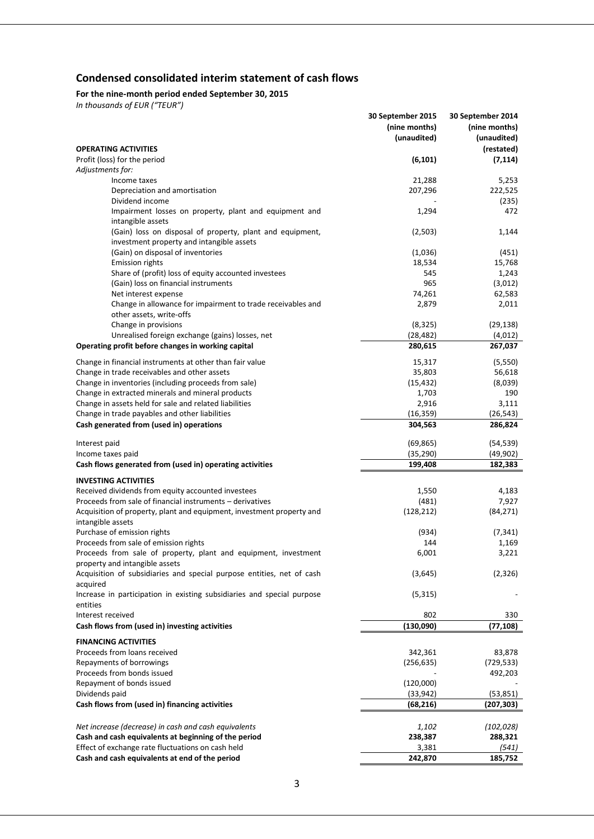## **Condensed consolidated interim statement of cash flows**

#### **For the nine-month period ended September 30, 2015**

|                                                                        | 30 September 2015 | 30 September 2014 |
|------------------------------------------------------------------------|-------------------|-------------------|
|                                                                        | (nine months)     | (nine months)     |
|                                                                        | (unaudited)       | (unaudited)       |
| <b>OPERATING ACTIVITIES</b>                                            |                   | (restated)        |
| Profit (loss) for the period                                           | (6, 101)          | (7, 114)          |
| Adjustments for:                                                       |                   |                   |
| Income taxes                                                           | 21,288            | 5,253             |
| Depreciation and amortisation                                          | 207,296           | 222,525           |
| Dividend income                                                        |                   | (235)             |
| Impairment losses on property, plant and equipment and                 | 1,294             | 472               |
| intangible assets                                                      |                   |                   |
| (Gain) loss on disposal of property, plant and equipment,              | (2,503)           | 1,144             |
| investment property and intangible assets                              |                   |                   |
| (Gain) on disposal of inventories                                      | (1,036)           | (451)             |
| <b>Emission rights</b>                                                 | 18,534            | 15,768            |
| Share of (profit) loss of equity accounted investees                   | 545               | 1,243             |
| (Gain) loss on financial instruments                                   | 965               | (3,012)           |
| Net interest expense                                                   | 74,261            | 62,583            |
| Change in allowance for impairment to trade receivables and            | 2,879             | 2,011             |
| other assets, write-offs                                               |                   |                   |
| Change in provisions                                                   | (8, 325)          | (29, 138)         |
| Unrealised foreign exchange (gains) losses, net                        | (28, 482)         | (4,012)           |
| Operating profit before changes in working capital                     | 280,615           | 267,037           |
|                                                                        |                   |                   |
| Change in financial instruments at other than fair value               | 15,317            | (5, 550)          |
| Change in trade receivables and other assets                           | 35,803            | 56,618            |
| Change in inventories (including proceeds from sale)                   | (15, 432)         | (8,039)           |
| Change in extracted minerals and mineral products                      | 1,703             | 190               |
| Change in assets held for sale and related liabilities                 | 2,916             | 3,111             |
| Change in trade payables and other liabilities                         | (16, 359)         | (26, 543)         |
| Cash generated from (used in) operations                               | 304,563           | 286,824           |
| Interest paid                                                          | (69, 865)         | (54, 539)         |
| Income taxes paid                                                      | (35, 290)         | (49,902)          |
| Cash flows generated from (used in) operating activities               | 199,408           | 182,383           |
|                                                                        |                   |                   |
| <b>INVESTING ACTIVITIES</b>                                            |                   |                   |
| Received dividends from equity accounted investees                     | 1,550             | 4,183             |
| Proceeds from sale of financial instruments - derivatives              | (481)             | 7,927             |
| Acquisition of property, plant and equipment, investment property and  | (128, 212)        | (84, 271)         |
| intangible assets                                                      |                   |                   |
| Purchase of emission rights                                            | (934)             | (7, 341)          |
| Proceeds from sale of emission rights                                  | 144               | 1,169             |
| Proceeds from sale of property, plant and equipment, investment        | 6,001             | 3,221             |
| property and intangible assets                                         |                   |                   |
| Acquisition of subsidiaries and special purpose entities, net of cash  | (3,645)           | (2, 326)          |
| acquired                                                               |                   |                   |
| Increase in participation in existing subsidiaries and special purpose | (5, 315)          |                   |
| entities                                                               |                   |                   |
| Interest received                                                      | 802               | 330               |
| Cash flows from (used in) investing activities                         | (130,090)         | (77,108)          |
| <b>FINANCING ACTIVITIES</b>                                            |                   |                   |
| Proceeds from loans received                                           | 342,361           | 83,878            |
| Repayments of borrowings                                               | (256, 635)        | (729, 533)        |
| Proceeds from bonds issued                                             |                   | 492,203           |
| Repayment of bonds issued                                              | (120,000)         |                   |
| Dividends paid                                                         | (33, 942)         | (53, 851)         |
| Cash flows from (used in) financing activities                         |                   | (207, 303)        |
|                                                                        | (68, 216)         |                   |
|                                                                        |                   |                   |
| Net increase (decrease) in cash and cash equivalents                   | 1,102             | (102, 028)        |
| Cash and cash equivalents at beginning of the period                   | 238,387           | 288,321           |
| Effect of exchange rate fluctuations on cash held                      | 3,381             | (541)             |
| Cash and cash equivalents at end of the period                         | 242,870           | 185,752           |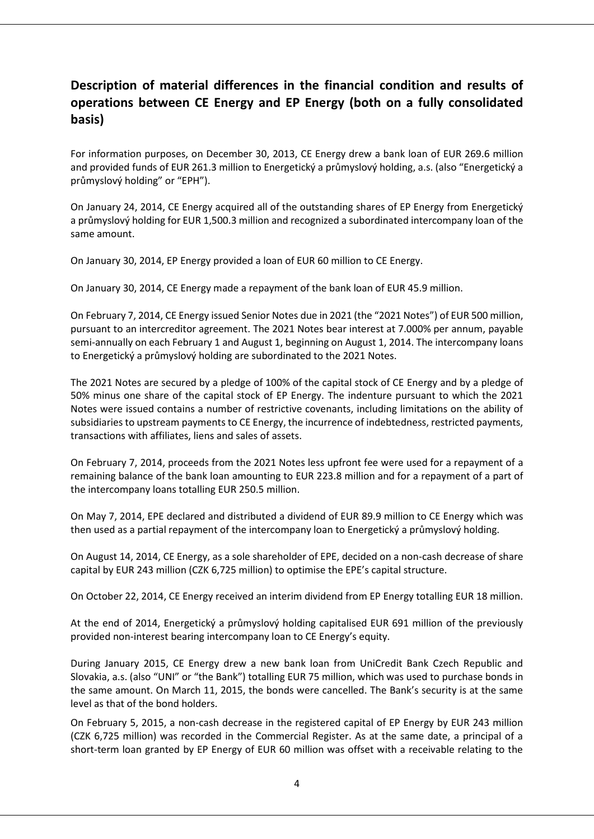## **Description of material differences in the financial condition and results of operations between CE Energy and EP Energy (both on a fully consolidated basis)**

For information purposes, on December 30, 2013, CE Energy drew a bank loan of EUR 269.6 million and provided funds of EUR 261.3 million to Energetický a průmyslový holding, a.s. (also "Energetický a průmyslový holding" or "EPH").

On January 24, 2014, CE Energy acquired all of the outstanding shares of EP Energy from Energetický a průmyslový holding for EUR 1,500.3 million and recognized a subordinated intercompany loan of the same amount.

On January 30, 2014, EP Energy provided a loan of EUR 60 million to CE Energy.

On January 30, 2014, CE Energy made a repayment of the bank loan of EUR 45.9 million.

On February 7, 2014, CE Energy issued Senior Notes due in 2021 (the "2021 Notes") of EUR 500 million, pursuant to an intercreditor agreement. The 2021 Notes bear interest at 7.000% per annum, payable semi-annually on each February 1 and August 1, beginning on August 1, 2014. The intercompany loans to Energetický a průmyslový holding are subordinated to the 2021 Notes.

The 2021 Notes are secured by a pledge of 100% of the capital stock of CE Energy and by a pledge of 50% minus one share of the capital stock of EP Energy. The indenture pursuant to which the 2021 Notes were issued contains a number of restrictive covenants, including limitations on the ability of subsidiaries to upstream payments to CE Energy, the incurrence of indebtedness, restricted payments, transactions with affiliates, liens and sales of assets.

On February 7, 2014, proceeds from the 2021 Notes less upfront fee were used for a repayment of a remaining balance of the bank loan amounting to EUR 223.8 million and for a repayment of a part of the intercompany loans totalling EUR 250.5 million.

On May 7, 2014, EPE declared and distributed a dividend of EUR 89.9 million to CE Energy which was then used as a partial repayment of the intercompany loan to Energetický a průmyslový holding.

On August 14, 2014, CE Energy, as a sole shareholder of EPE, decided on a non-cash decrease of share capital by EUR 243 million (CZK 6,725 million) to optimise the EPE's capital structure.

On October 22, 2014, CE Energy received an interim dividend from EP Energy totalling EUR 18 million.

At the end of 2014, Energetický a průmyslový holding capitalised EUR 691 million of the previously provided non-interest bearing intercompany loan to CE Energy's equity.

During January 2015, CE Energy drew a new bank loan from UniCredit Bank Czech Republic and Slovakia, a.s. (also "UNI" or "the Bank") totalling EUR 75 million, which was used to purchase bonds in the same amount. On March 11, 2015, the bonds were cancelled. The Bank's security is at the same level as that of the bond holders.

On February 5, 2015, a non-cash decrease in the registered capital of EP Energy by EUR 243 million (CZK 6,725 million) was recorded in the Commercial Register. As at the same date, a principal of a short-term loan granted by EP Energy of EUR 60 million was offset with a receivable relating to the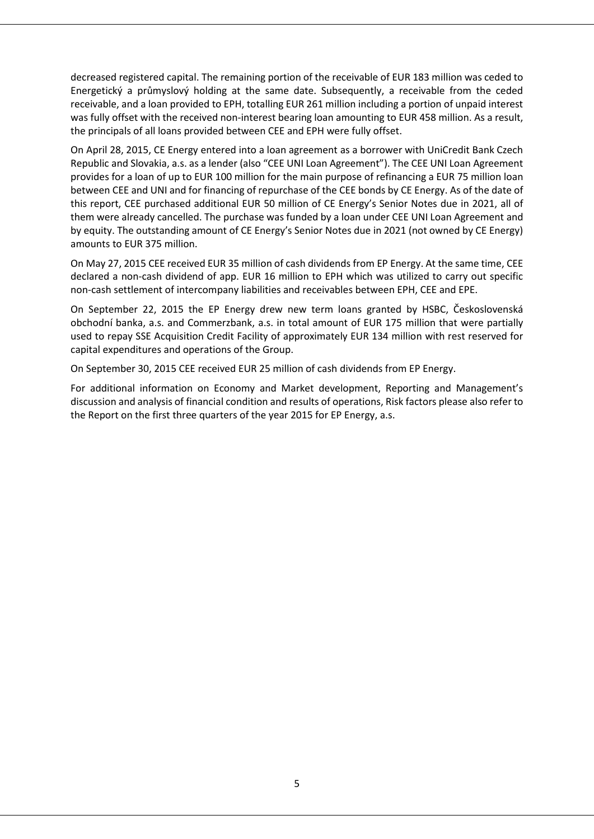decreased registered capital. The remaining portion of the receivable of EUR 183 million was ceded to Energetický a průmyslový holding at the same date. Subsequently, a receivable from the ceded receivable, and a loan provided to EPH, totalling EUR 261 million including a portion of unpaid interest was fully offset with the received non-interest bearing loan amounting to EUR 458 million. As a result, the principals of all loans provided between CEE and EPH were fully offset.

On April 28, 2015, CE Energy entered into a loan agreement as a borrower with UniCredit Bank Czech Republic and Slovakia, a.s. as a lender (also "CEE UNI Loan Agreement"). The CEE UNI Loan Agreement provides for a loan of up to EUR 100 million for the main purpose of refinancing a EUR 75 million loan between CEE and UNI and for financing of repurchase of the CEE bonds by CE Energy. As of the date of this report, CEE purchased additional EUR 50 million of CE Energy's Senior Notes due in 2021, all of them were already cancelled. The purchase was funded by a loan under CEE UNI Loan Agreement and by equity. The outstanding amount of CE Energy's Senior Notes due in 2021 (not owned by CE Energy) amounts to EUR 375 million.

On May 27, 2015 CEE received EUR 35 million of cash dividends from EP Energy. At the same time, CEE declared a non-cash dividend of app. EUR 16 million to EPH which was utilized to carry out specific non-cash settlement of intercompany liabilities and receivables between EPH, CEE and EPE.

On September 22, 2015 the EP Energy drew new term loans granted by HSBC, Československá obchodní banka, a.s. and Commerzbank, a.s. in total amount of EUR 175 million that were partially used to repay SSE Acquisition Credit Facility of approximately EUR 134 million with rest reserved for capital expenditures and operations of the Group.

On September 30, 2015 CEE received EUR 25 million of cash dividends from EP Energy.

For additional information on Economy and Market development, Reporting and Management's discussion and analysis of financial condition and results of operations, Risk factors please also refer to the Report on the first three quarters of the year 2015 for EP Energy, a.s.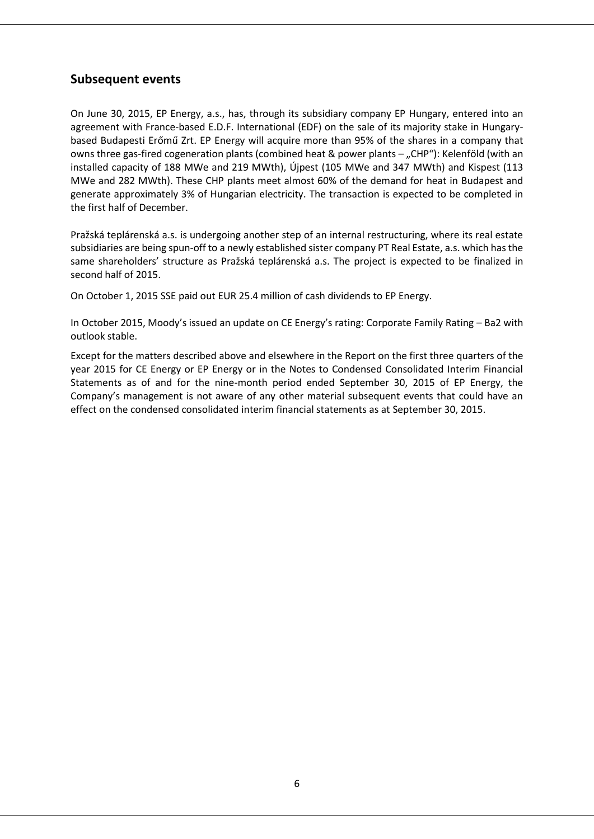## **Subsequent events**

On June 30, 2015, EP Energy, a.s., has, through its subsidiary company EP Hungary, entered into an agreement with France-based E.D.F. International (EDF) on the sale of its majority stake in Hungarybased Budapesti Erőmű Zrt. EP Energy will acquire more than 95% of the shares in a company that owns three gas-fired cogeneration plants (combined heat & power plants – "CHP"): Kelenföld (with an installed capacity of 188 MWe and 219 MWth), Újpest (105 MWe and 347 MWth) and Kispest (113 MWe and 282 MWth). These CHP plants meet almost 60% of the demand for heat in Budapest and generate approximately 3% of Hungarian electricity. The transaction is expected to be completed in the first half of December.

Pražská teplárenská a.s. is undergoing another step of an internal restructuring, where its real estate subsidiaries are being spun-off to a newly established sister company PT Real Estate, a.s. which has the same shareholders' structure as Pražská teplárenská a.s. The project is expected to be finalized in second half of 2015.

On October 1, 2015 SSE paid out EUR 25.4 million of cash dividends to EP Energy.

In October 2015, Moody's issued an update on CE Energy's rating: Corporate Family Rating – Ba2 with outlook stable.

Except for the matters described above and elsewhere in the Report on the first three quarters of the year 2015 for CE Energy or EP Energy or in the Notes to Condensed Consolidated Interim Financial Statements as of and for the nine-month period ended September 30, 2015 of EP Energy, the Company's management is not aware of any other material subsequent events that could have an effect on the condensed consolidated interim financial statements as at September 30, 2015.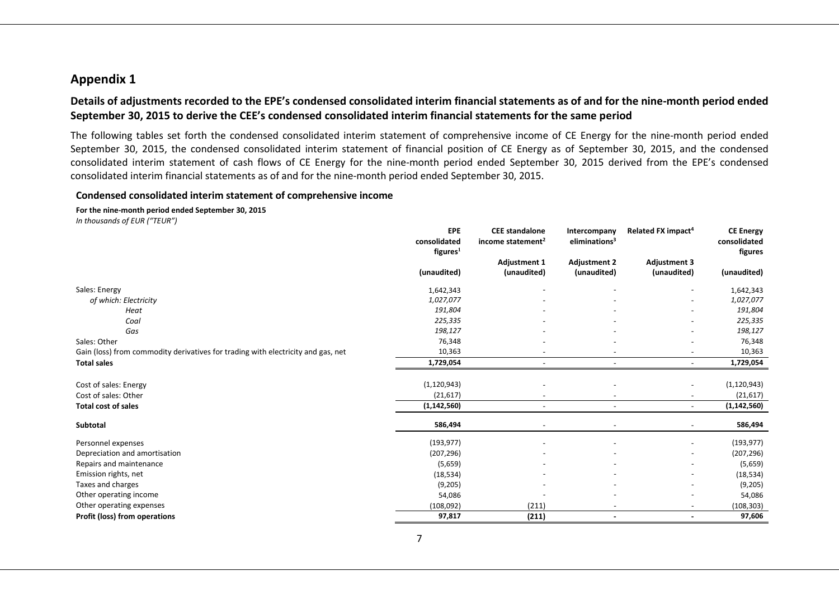### **Appendix 1**

### **Details of adjustments recorded to the EPE's condensed consolidated interim financial statements as of and for the nine-month period ended September 30, 2015 to derive the CEE's condensed consolidated interim financial statements for the same period**

The following tables set forth the condensed consolidated interim statement of comprehensive income of CE Energy for the nine-month period ended September 30, 2015, the condensed consolidated interim statement of financial position of CE Energy as of September 30, 2015, and the condensed consolidated interim statement of cash flows of CE Energy for the nine-month period ended September 30, 2015 derived from the EPE's condensed consolidated interim financial statements as of and for the nine-month period ended September 30, 2015.

#### **Condensed consolidated interim statement of comprehensive income**

**For the nine-month period ended September 30, 2015** *In thousands of EUR ("TEUR")*

|                                                                                  | <b>EPE</b><br>consolidated<br>figures <sup>1</sup> | <b>CEE</b> standalone<br>income statement <sup>2</sup> | Intercompany<br>eliminations <sup>3</sup> | Related FX impact <sup>4</sup> | <b>CE Energy</b><br>consolidated<br>figures |
|----------------------------------------------------------------------------------|----------------------------------------------------|--------------------------------------------------------|-------------------------------------------|--------------------------------|---------------------------------------------|
|                                                                                  |                                                    | <b>Adjustment 1</b>                                    | <b>Adjustment 2</b>                       | <b>Adjustment 3</b>            |                                             |
|                                                                                  | (unaudited)                                        | (unaudited)                                            | (unaudited)                               | (unaudited)                    | (unaudited)                                 |
| Sales: Energy                                                                    | 1,642,343                                          |                                                        |                                           |                                | 1,642,343                                   |
| of which: Electricity                                                            | 1,027,077                                          |                                                        |                                           |                                | 1,027,077                                   |
| Heat                                                                             | 191,804                                            |                                                        |                                           |                                | 191,804                                     |
| Coal                                                                             | 225,335                                            |                                                        |                                           |                                | 225,335                                     |
| Gas                                                                              | 198,127                                            |                                                        |                                           |                                | 198,127                                     |
| Sales: Other                                                                     | 76,348                                             |                                                        |                                           |                                | 76,348                                      |
| Gain (loss) from commodity derivatives for trading with electricity and gas, net | 10,363                                             |                                                        |                                           |                                | 10,363                                      |
| <b>Total sales</b>                                                               | 1,729,054                                          | $\overline{\phantom{a}}$                               | $\overline{\phantom{a}}$                  |                                | 1,729,054                                   |
| Cost of sales: Energy                                                            | (1, 120, 943)                                      |                                                        |                                           |                                | (1, 120, 943)                               |
| Cost of sales: Other                                                             | (21, 617)                                          |                                                        | $\overline{\phantom{a}}$                  |                                | (21, 617)                                   |
| <b>Total cost of sales</b>                                                       | (1, 142, 560)                                      | $\overline{\phantom{a}}$                               | $\sim$                                    | $\overline{\phantom{a}}$       | (1, 142, 560)                               |
| Subtotal                                                                         | 586,494                                            |                                                        |                                           |                                |                                             |
|                                                                                  |                                                    |                                                        |                                           |                                | 586,494                                     |
| Personnel expenses                                                               | (193, 977)                                         | $\overline{\phantom{a}}$                               | $\overline{\phantom{a}}$                  |                                | (193, 977)                                  |
| Depreciation and amortisation                                                    | (207, 296)                                         |                                                        |                                           |                                | (207, 296)                                  |
| Repairs and maintenance                                                          | (5,659)                                            |                                                        |                                           |                                | (5,659)                                     |
| Emission rights, net                                                             | (18, 534)                                          |                                                        | $\overline{\phantom{a}}$                  |                                | (18, 534)                                   |
| Taxes and charges                                                                | (9,205)                                            |                                                        |                                           |                                | (9,205)                                     |
| Other operating income                                                           | 54,086                                             |                                                        |                                           |                                | 54,086                                      |
| Other operating expenses                                                         | (108,092)                                          | (211)                                                  | $\overline{\phantom{a}}$                  |                                | (108, 303)                                  |
| Profit (loss) from operations                                                    | 97,817                                             | (211)                                                  | $\overline{\phantom{a}}$                  |                                | 97,606                                      |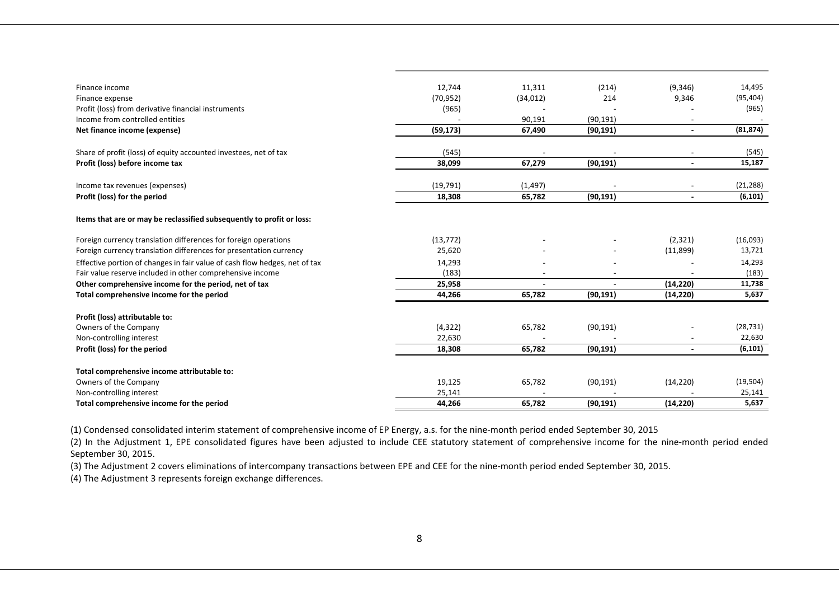| Finance income                                                             | 12,744    | 11,311    | (214)     | (9,346)                  | 14,495    |
|----------------------------------------------------------------------------|-----------|-----------|-----------|--------------------------|-----------|
| Finance expense                                                            | (70, 952) | (34, 012) | 214       | 9,346                    | (95, 404) |
| Profit (loss) from derivative financial instruments                        | (965)     |           |           |                          | (965)     |
| Income from controlled entities                                            |           | 90,191    | (90, 191) |                          |           |
| Net finance income (expense)                                               | (59, 173) | 67,490    | (90, 191) |                          | (81, 874) |
|                                                                            |           |           |           |                          |           |
| Share of profit (loss) of equity accounted investees, net of tax           | (545)     |           |           |                          | (545)     |
| Profit (loss) before income tax                                            | 38,099    | 67,279    | (90, 191) | $\overline{\phantom{a}}$ | 15,187    |
| Income tax revenues (expenses)                                             | (19, 791) | (1, 497)  |           |                          | (21, 288) |
| Profit (loss) for the period                                               | 18,308    | 65,782    | (90, 191) |                          | (6, 101)  |
| Items that are or may be reclassified subsequently to profit or loss:      |           |           |           |                          |           |
| Foreign currency translation differences for foreign operations            | (13, 772) |           |           | (2, 321)                 | (16,093)  |
| Foreign currency translation differences for presentation currency         | 25,620    |           |           | (11,899)                 | 13,721    |
| Effective portion of changes in fair value of cash flow hedges, net of tax | 14,293    |           |           |                          | 14,293    |
| Fair value reserve included in other comprehensive income                  | (183)     |           |           |                          | (183)     |
| Other comprehensive income for the period, net of tax                      | 25,958    |           |           | (14, 220)                | 11,738    |
| Total comprehensive income for the period                                  | 44,266    | 65,782    | (90, 191) | (14, 220)                | 5,637     |
| Profit (loss) attributable to:                                             |           |           |           |                          |           |
| Owners of the Company                                                      | (4, 322)  | 65,782    | (90, 191) |                          | (28, 731) |
| Non-controlling interest                                                   | 22,630    |           |           |                          | 22,630    |
| Profit (loss) for the period                                               | 18,308    | 65,782    | (90, 191) |                          | (6, 101)  |
|                                                                            |           |           |           |                          |           |
| Total comprehensive income attributable to:                                |           |           |           |                          |           |
| Owners of the Company                                                      | 19,125    | 65,782    | (90, 191) | (14, 220)                | (19, 504) |
| Non-controlling interest                                                   | 25,141    |           |           |                          | 25,141    |
| Total comprehensive income for the period                                  | 44,266    | 65,782    | (90, 191) | (14, 220)                | 5,637     |

(1) Condensed consolidated interim statement of comprehensive income of EP Energy, a.s. for the nine-month period ended September 30, 2015

(2) In the Adjustment 1, EPE consolidated figures have been adjusted to include CEE statutory statement of comprehensive income for the nine-month period ended September 30, 2015.

(3) The Adjustment 2 covers eliminations of intercompany transactions between EPE and CEE for the nine-month period ended September 30, 2015.

(4) The Adjustment 3 represents foreign exchange differences.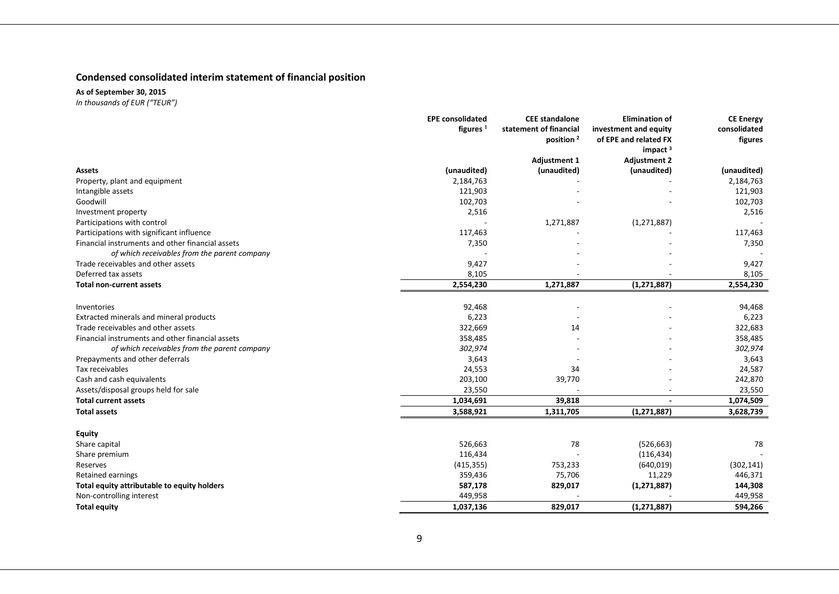### **Condensed consolidated interim statement of financial position**

**As of September 30, 2015**

|                                                  | <b>EPE consolidated</b> | <b>CEE</b> standalone  | <b>Elimination of</b> | <b>CE Energy</b> |
|--------------------------------------------------|-------------------------|------------------------|-----------------------|------------------|
|                                                  | figures $1$             | statement of financial | investment and equity | consolidated     |
|                                                  |                         | position <sup>2</sup>  | of EPE and related FX | figures          |
|                                                  |                         |                        | impact $3$            |                  |
|                                                  |                         | <b>Adjustment 1</b>    | <b>Adjustment 2</b>   |                  |
| Assets                                           | (unaudited)             | (unaudited)            | (unaudited)           | (unaudited)      |
| Property, plant and equipment                    | 2,184,763               |                        |                       | 2,184,763        |
| Intangible assets                                | 121,903                 |                        |                       | 121,903          |
| Goodwill                                         | 102,703                 |                        |                       | 102,703          |
| Investment property                              | 2,516                   |                        |                       | 2,516            |
| Participations with control                      |                         | 1,271,887              | (1, 271, 887)         |                  |
| Participations with significant influence        | 117,463                 |                        |                       | 117,463          |
| Financial instruments and other financial assets | 7,350                   |                        |                       | 7,350            |
| of which receivables from the parent company     |                         |                        |                       |                  |
| Trade receivables and other assets               | 9,427                   |                        |                       | 9,427            |
| Deferred tax assets                              | 8,105                   |                        |                       | 8,105            |
| <b>Total non-current assets</b>                  | 2,554,230               | 1,271,887              | (1, 271, 887)         | 2,554,230        |
| Inventories                                      | 92,468                  |                        |                       | 94,468           |
| Extracted minerals and mineral products          | 6,223                   |                        |                       | 6,223            |
| Trade receivables and other assets               | 322,669                 | 14                     |                       | 322,683          |
| Financial instruments and other financial assets | 358,485                 |                        |                       | 358,485          |
| of which receivables from the parent company     | 302,974                 |                        |                       | 302,974          |
| Prepayments and other deferrals                  | 3,643                   |                        |                       | 3,643            |
| Tax receivables                                  | 24,553                  | 34                     |                       | 24,587           |
| Cash and cash equivalents                        | 203,100                 | 39,770                 |                       | 242,870          |
| Assets/disposal groups held for sale             | 23,550                  |                        |                       | 23,550           |
| <b>Total current assets</b>                      | 1,034,691               | 39,818                 |                       | 1,074,509        |
| <b>Total assets</b>                              | 3,588,921               | 1,311,705              | (1, 271, 887)         | 3,628,739        |
|                                                  |                         |                        |                       |                  |
| Equity<br>Share capital                          | 526,663                 | 78                     | (526, 663)            | 78               |
|                                                  |                         |                        |                       |                  |
| Share premium                                    | 116,434                 |                        | (116, 434)            |                  |
| Reserves                                         | (415, 355)              | 753,233                | (640, 019)            | (302, 141)       |
| <b>Retained earnings</b>                         | 359,436                 | 75,706                 | 11,229                | 446,371          |
| Total equity attributable to equity holders      | 587,178                 | 829,017                | (1, 271, 887)         | 144,308          |
| Non-controlling interest                         | 449,958                 |                        |                       | 449,958          |
| <b>Total equity</b>                              | 1,037,136               | 829,017                | (1, 271, 887)         | 594,266          |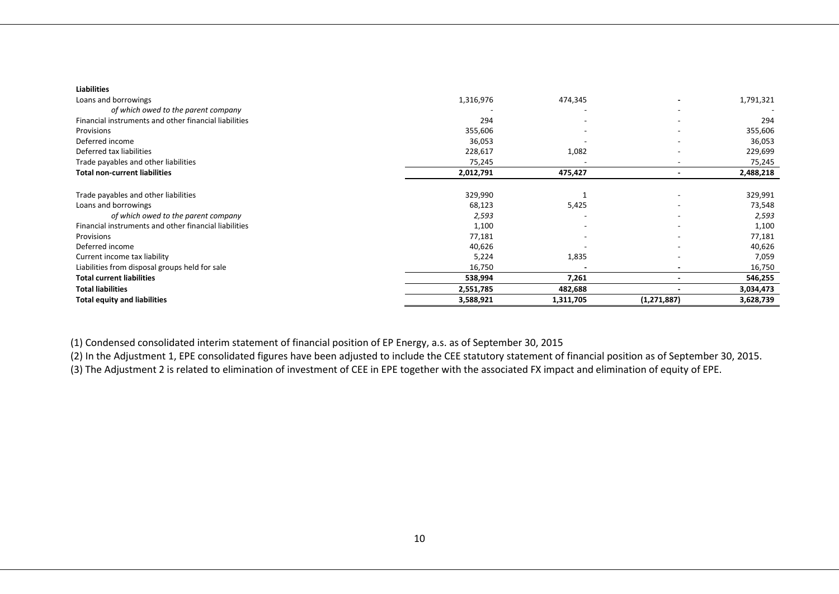| <b>Liabilities</b>                                    |           |                          |                          |           |
|-------------------------------------------------------|-----------|--------------------------|--------------------------|-----------|
| Loans and borrowings                                  | 1,316,976 | 474,345                  |                          | 1,791,321 |
| of which owed to the parent company                   |           | $\overline{\phantom{a}}$ | ۰                        |           |
| Financial instruments and other financial liabilities | 294       |                          | $\overline{\phantom{a}}$ | 294       |
| Provisions                                            | 355,606   |                          |                          | 355,606   |
| Deferred income                                       | 36,053    |                          |                          | 36,053    |
| Deferred tax liabilities                              | 228,617   | 1,082                    |                          | 229,699   |
| Trade payables and other liabilities                  | 75,245    |                          | $\overline{\phantom{0}}$ | 75,245    |
| <b>Total non-current liabilities</b>                  | 2,012,791 | 475,427                  |                          | 2,488,218 |
|                                                       |           |                          |                          |           |
| Trade payables and other liabilities                  | 329,990   |                          | -                        | 329,991   |
| Loans and borrowings                                  | 68,123    | 5,425                    |                          | 73,548    |
| of which owed to the parent company                   | 2,593     |                          |                          | 2,593     |
| Financial instruments and other financial liabilities | 1,100     |                          | ۰                        | 1,100     |
| Provisions                                            | 77,181    |                          |                          | 77,181    |
| Deferred income                                       | 40,626    |                          | ۰                        | 40,626    |
| Current income tax liability                          | 5,224     | 1,835                    |                          | 7,059     |
| Liabilities from disposal groups held for sale        | 16,750    |                          |                          | 16,750    |
| <b>Total current liabilities</b>                      | 538,994   | 7,261                    | ٠                        | 546,255   |
| <b>Total liabilities</b>                              | 2,551,785 | 482,688                  |                          | 3,034,473 |
| <b>Total equity and liabilities</b>                   | 3,588,921 | 1,311,705                | (1, 271, 887)            | 3,628,739 |

(1) Condensed consolidated interim statement of financial position of EP Energy, a.s. as of September 30, 2015

(2) In the Adjustment 1, EPE consolidated figures have been adjusted to include the CEE statutory statement of financial position as of September 30, 2015.

(3) The Adjustment 2 is related to elimination of investment of CEE in EPE together with the associated FX impact and elimination of equity of EPE.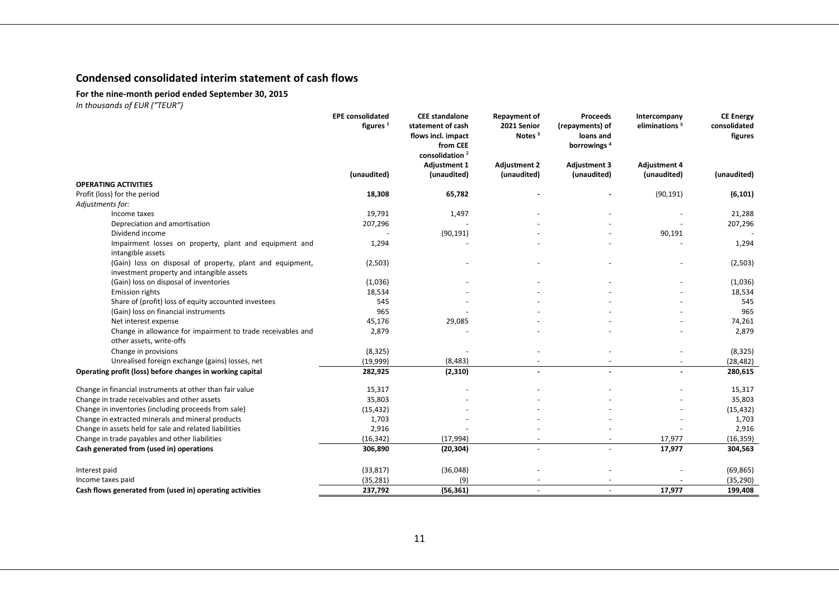## **Condensed consolidated interim statement of cash flows**

#### **For the nine-month period ended September 30, 2015**

|                                                                                                        | <b>EPE</b> consolidated<br>figures $1$ | <b>CEE</b> standalone<br>statement of cash<br>flows incl. impact<br>from CEE<br>consolidation $^2$ | <b>Repayment of</b><br>2021 Senior<br>Notes $3$ | <b>Proceeds</b><br>(repayments) of<br>loans and<br>borrowings <sup>4</sup> | Intercompany<br>eliminations <sup>5</sup> | <b>CE Energy</b><br>consolidated<br>figures |
|--------------------------------------------------------------------------------------------------------|----------------------------------------|----------------------------------------------------------------------------------------------------|-------------------------------------------------|----------------------------------------------------------------------------|-------------------------------------------|---------------------------------------------|
|                                                                                                        | (unaudited)                            | <b>Adjustment 1</b><br>(unaudited)                                                                 | <b>Adjustment 2</b><br>(unaudited)              | <b>Adjustment 3</b><br>(unaudited)                                         | <b>Adjustment 4</b><br>(unaudited)        | (unaudited)                                 |
| <b>OPERATING ACTIVITIES</b>                                                                            |                                        |                                                                                                    |                                                 |                                                                            |                                           |                                             |
| Profit (loss) for the period                                                                           | 18,308                                 | 65,782                                                                                             |                                                 |                                                                            | (90, 191)                                 | (6, 101)                                    |
| Adjustments for:                                                                                       |                                        |                                                                                                    |                                                 |                                                                            |                                           |                                             |
| Income taxes                                                                                           | 19,791                                 | 1,497                                                                                              |                                                 |                                                                            |                                           | 21,288                                      |
| Depreciation and amortisation                                                                          | 207,296                                |                                                                                                    |                                                 |                                                                            |                                           | 207,296                                     |
| Dividend income                                                                                        |                                        | (90, 191)                                                                                          |                                                 |                                                                            | 90,191                                    |                                             |
| Impairment losses on property, plant and equipment and<br>intangible assets                            | 1,294                                  |                                                                                                    |                                                 |                                                                            |                                           | 1,294                                       |
| (Gain) loss on disposal of property, plant and equipment,<br>investment property and intangible assets | (2,503)                                |                                                                                                    |                                                 |                                                                            |                                           | (2,503)                                     |
| (Gain) loss on disposal of inventories                                                                 | (1,036)                                |                                                                                                    |                                                 |                                                                            |                                           | (1,036)                                     |
| <b>Emission rights</b>                                                                                 | 18,534                                 |                                                                                                    |                                                 |                                                                            |                                           | 18,534                                      |
| Share of (profit) loss of equity accounted investees                                                   | 545                                    |                                                                                                    |                                                 |                                                                            |                                           | 545                                         |
| (Gain) loss on financial instruments                                                                   | 965                                    |                                                                                                    |                                                 |                                                                            |                                           | 965                                         |
| Net interest expense                                                                                   | 45,176                                 | 29,085                                                                                             |                                                 |                                                                            |                                           | 74,261                                      |
| Change in allowance for impairment to trade receivables and<br>other assets, write-offs                | 2,879                                  |                                                                                                    |                                                 |                                                                            |                                           | 2,879                                       |
| Change in provisions                                                                                   | (8, 325)                               |                                                                                                    |                                                 |                                                                            |                                           | (8, 325)                                    |
| Unrealised foreign exchange (gains) losses, net                                                        | (19,999)                               | (8, 483)                                                                                           |                                                 |                                                                            |                                           | (28, 482)                                   |
| Operating profit (loss) before changes in working capital                                              | 282,925                                | (2, 310)                                                                                           |                                                 |                                                                            |                                           | 280,615                                     |
| Change in financial instruments at other than fair value                                               | 15,317                                 |                                                                                                    |                                                 |                                                                            |                                           | 15,317                                      |
| Change in trade receivables and other assets                                                           | 35,803                                 |                                                                                                    |                                                 |                                                                            |                                           | 35,803                                      |
| Change in inventories (including proceeds from sale)                                                   | (15, 432)                              |                                                                                                    |                                                 |                                                                            |                                           | (15, 432)                                   |
| Change in extracted minerals and mineral products                                                      | 1,703                                  |                                                                                                    |                                                 |                                                                            |                                           | 1,703                                       |
| Change in assets held for sale and related liabilities                                                 | 2,916                                  |                                                                                                    |                                                 |                                                                            |                                           | 2,916                                       |
| Change in trade payables and other liabilities                                                         | (16, 342)                              | (17, 994)                                                                                          |                                                 |                                                                            | 17,977                                    | (16, 359)                                   |
| Cash generated from (used in) operations                                                               | 306,890                                | (20, 304)                                                                                          |                                                 |                                                                            | 17,977                                    | 304,563                                     |
| Interest paid                                                                                          | (33, 817)                              | (36,048)                                                                                           |                                                 |                                                                            |                                           | (69, 865)                                   |
| Income taxes paid                                                                                      | (35, 281)                              | (9)                                                                                                |                                                 |                                                                            |                                           | (35, 290)                                   |
| Cash flows generated from (used in) operating activities                                               | 237,792                                | (56, 361)                                                                                          |                                                 |                                                                            | 17.977                                    | 199,408                                     |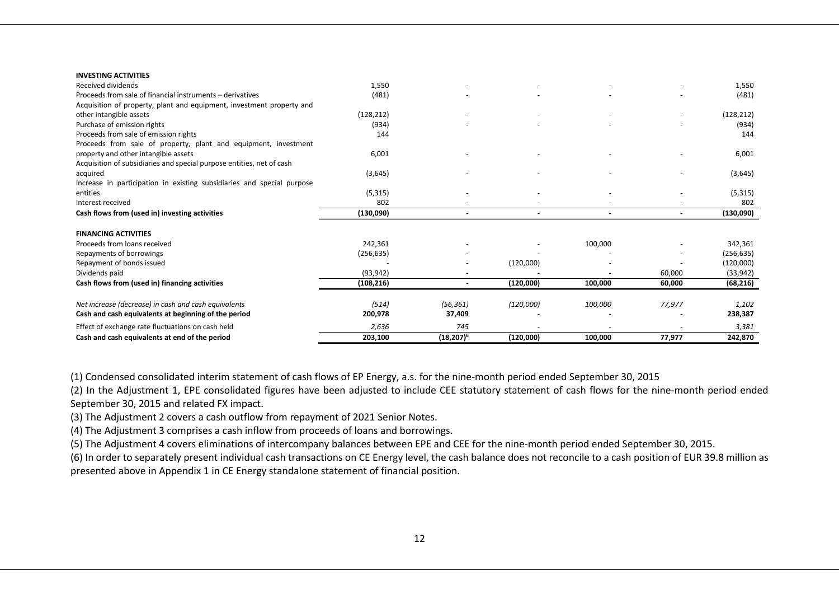| <b>INVESTING ACTIVITIES</b>                                            |            |               |           |         |                          |            |
|------------------------------------------------------------------------|------------|---------------|-----------|---------|--------------------------|------------|
| Received dividends                                                     | 1,550      |               |           |         |                          | 1,550      |
| Proceeds from sale of financial instruments - derivatives              | (481)      |               |           |         |                          | (481)      |
| Acquisition of property, plant and equipment, investment property and  |            |               |           |         |                          |            |
| other intangible assets                                                | (128, 212) |               |           |         | $\overline{\phantom{a}}$ | (128, 212) |
| Purchase of emission rights                                            | (934)      |               |           |         |                          | (934)      |
| Proceeds from sale of emission rights                                  | 144        |               |           |         |                          | 144        |
| Proceeds from sale of property, plant and equipment, investment        |            |               |           |         |                          |            |
| property and other intangible assets                                   | 6,001      |               |           |         |                          | 6,001      |
| Acquisition of subsidiaries and special purpose entities, net of cash  |            |               |           |         |                          |            |
| acquired                                                               | (3,645)    |               |           |         |                          | (3,645)    |
| Increase in participation in existing subsidiaries and special purpose |            |               |           |         |                          |            |
| entities                                                               | (5, 315)   |               |           |         |                          | (5, 315)   |
| Interest received                                                      | 802        |               |           |         |                          | 802        |
| Cash flows from (used in) investing activities                         | (130,090)  |               |           |         |                          | (130,090)  |
|                                                                        |            |               |           |         |                          |            |
| <b>FINANCING ACTIVITIES</b>                                            |            |               |           |         |                          |            |
| Proceeds from loans received                                           | 242,361    |               |           | 100,000 |                          | 342,361    |
| Repayments of borrowings                                               | (256, 635) |               |           |         |                          | (256, 635) |
| Repayment of bonds issued                                              |            |               | (120,000) |         |                          | (120,000)  |
| Dividends paid                                                         | (93, 942)  |               |           |         | 60,000                   | (33, 942)  |
| Cash flows from (used in) financing activities                         | (108, 216) |               | (120,000) | 100,000 | 60,000                   | (68, 216)  |
|                                                                        |            |               |           |         |                          |            |
| Net increase (decrease) in cash and cash equivalents                   | (514)      | (56, 361)     | (120,000) | 100,000 | 77,977                   | 1,102      |
| Cash and cash equivalents at beginning of the period                   | 200,978    | 37,409        |           |         |                          | 238,387    |
| Effect of exchange rate fluctuations on cash held                      | 2,636      | 745           |           |         |                          | 3,381      |
| Cash and cash equivalents at end of the period                         | 203,100    | $(18, 207)^6$ | (120,000) | 100,000 | 77,977                   | 242,870    |

(1) Condensed consolidated interim statement of cash flows of EP Energy, a.s. for the nine-month period ended September 30, 2015

(2) In the Adjustment 1, EPE consolidated figures have been adjusted to include CEE statutory statement of cash flows for the nine-month period ended September 30, 2015 and related FX impact.

(3) The Adjustment 2 covers a cash outflow from repayment of 2021 Senior Notes.

(4) The Adjustment 3 comprises a cash inflow from proceeds of loans and borrowings.

(5) The Adjustment 4 covers eliminations of intercompany balances between EPE and CEE for the nine-month period ended September 30, 2015.

(6) In order to separately present individual cash transactions on CE Energy level, the cash balance does not reconcile to a cash position of EUR 39.8 million as presented above in Appendix 1 in CE Energy standalone statement of financial position.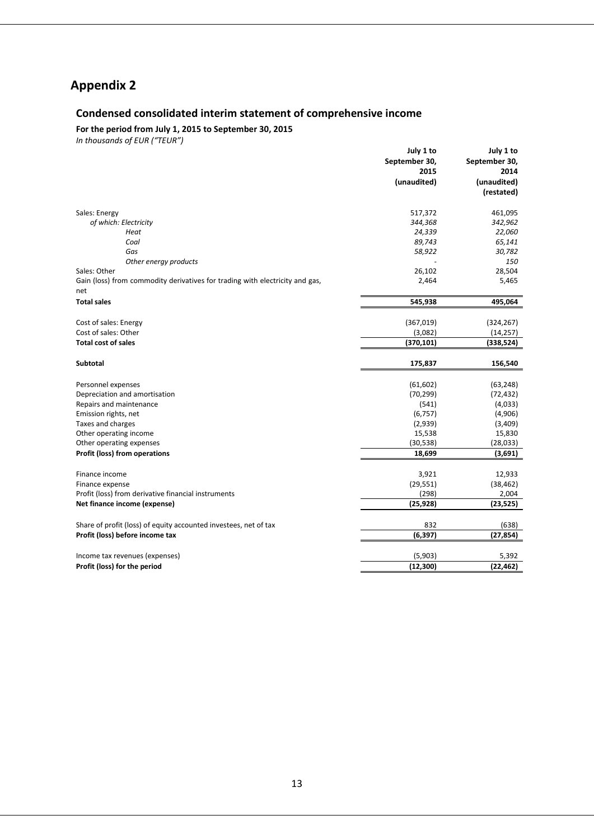## **Appendix 2**

### **Condensed consolidated interim statement of comprehensive income**

**For the period from July 1, 2015 to September 30, 2015**

| September 30,<br>September 30,<br>2015<br>2014<br>(unaudited)<br>(unaudited)<br>(restated)<br>Sales: Energy<br>517,372<br>461,095<br>of which: Electricity<br>344,368<br>342,962<br>24,339<br>22,060<br>Heat<br>89,743<br>Coal<br>65,141<br>Gas<br>58,922<br>30,782<br>Other energy products<br>150<br>26,102<br>Sales: Other<br>28,504<br>Gain (loss) from commodity derivatives for trading with electricity and gas,<br>2,464<br>5,465<br>net<br><b>Total sales</b><br>545,938<br>495,064<br>Cost of sales: Energy<br>(367,019)<br>(324, 267)<br>Cost of sales: Other<br>(3,082)<br>(14, 257)<br><b>Total cost of sales</b><br>(370, 101)<br>(338, 524)<br><b>Subtotal</b><br>175,837<br>156,540<br>Personnel expenses<br>(61, 602)<br>(63, 248)<br>(70, 299)<br>(72, 432)<br>Depreciation and amortisation<br>Repairs and maintenance<br>(541)<br>(4,033)<br>(4,906)<br>Emission rights, net<br>(6, 757)<br>(2,939)<br>(3,409)<br>Taxes and charges<br>Other operating income<br>15,538<br>15,830<br>(30, 538)<br>Other operating expenses<br>(28, 033)<br>Profit (loss) from operations<br>(3,691)<br>18,699<br>3,921<br>Finance income<br>12,933<br>(29, 551)<br>(38, 462)<br>Finance expense<br>Profit (loss) from derivative financial instruments<br>(298)<br>2,004<br>(25, 928)<br>(23, 525)<br>Net finance income (expense)<br>832<br>Share of profit (loss) of equity accounted investees, net of tax<br>(638)<br>Profit (loss) before income tax<br>(6, 397)<br>(27, 854)<br>Income tax revenues (expenses)<br>(5,903)<br>5,392<br>(12, 300)<br>(22, 462)<br>Profit (loss) for the period | July 1 to | July 1 to |
|--------------------------------------------------------------------------------------------------------------------------------------------------------------------------------------------------------------------------------------------------------------------------------------------------------------------------------------------------------------------------------------------------------------------------------------------------------------------------------------------------------------------------------------------------------------------------------------------------------------------------------------------------------------------------------------------------------------------------------------------------------------------------------------------------------------------------------------------------------------------------------------------------------------------------------------------------------------------------------------------------------------------------------------------------------------------------------------------------------------------------------------------------------------------------------------------------------------------------------------------------------------------------------------------------------------------------------------------------------------------------------------------------------------------------------------------------------------------------------------------------------------------------------------------------------------------------------------------------------|-----------|-----------|
|                                                                                                                                                                                                                                                                                                                                                                                                                                                                                                                                                                                                                                                                                                                                                                                                                                                                                                                                                                                                                                                                                                                                                                                                                                                                                                                                                                                                                                                                                                                                                                                                        |           |           |
|                                                                                                                                                                                                                                                                                                                                                                                                                                                                                                                                                                                                                                                                                                                                                                                                                                                                                                                                                                                                                                                                                                                                                                                                                                                                                                                                                                                                                                                                                                                                                                                                        |           |           |
|                                                                                                                                                                                                                                                                                                                                                                                                                                                                                                                                                                                                                                                                                                                                                                                                                                                                                                                                                                                                                                                                                                                                                                                                                                                                                                                                                                                                                                                                                                                                                                                                        |           |           |
|                                                                                                                                                                                                                                                                                                                                                                                                                                                                                                                                                                                                                                                                                                                                                                                                                                                                                                                                                                                                                                                                                                                                                                                                                                                                                                                                                                                                                                                                                                                                                                                                        |           |           |
|                                                                                                                                                                                                                                                                                                                                                                                                                                                                                                                                                                                                                                                                                                                                                                                                                                                                                                                                                                                                                                                                                                                                                                                                                                                                                                                                                                                                                                                                                                                                                                                                        |           |           |
|                                                                                                                                                                                                                                                                                                                                                                                                                                                                                                                                                                                                                                                                                                                                                                                                                                                                                                                                                                                                                                                                                                                                                                                                                                                                                                                                                                                                                                                                                                                                                                                                        |           |           |
|                                                                                                                                                                                                                                                                                                                                                                                                                                                                                                                                                                                                                                                                                                                                                                                                                                                                                                                                                                                                                                                                                                                                                                                                                                                                                                                                                                                                                                                                                                                                                                                                        |           |           |
|                                                                                                                                                                                                                                                                                                                                                                                                                                                                                                                                                                                                                                                                                                                                                                                                                                                                                                                                                                                                                                                                                                                                                                                                                                                                                                                                                                                                                                                                                                                                                                                                        |           |           |
|                                                                                                                                                                                                                                                                                                                                                                                                                                                                                                                                                                                                                                                                                                                                                                                                                                                                                                                                                                                                                                                                                                                                                                                                                                                                                                                                                                                                                                                                                                                                                                                                        |           |           |
|                                                                                                                                                                                                                                                                                                                                                                                                                                                                                                                                                                                                                                                                                                                                                                                                                                                                                                                                                                                                                                                                                                                                                                                                                                                                                                                                                                                                                                                                                                                                                                                                        |           |           |
|                                                                                                                                                                                                                                                                                                                                                                                                                                                                                                                                                                                                                                                                                                                                                                                                                                                                                                                                                                                                                                                                                                                                                                                                                                                                                                                                                                                                                                                                                                                                                                                                        |           |           |
|                                                                                                                                                                                                                                                                                                                                                                                                                                                                                                                                                                                                                                                                                                                                                                                                                                                                                                                                                                                                                                                                                                                                                                                                                                                                                                                                                                                                                                                                                                                                                                                                        |           |           |
|                                                                                                                                                                                                                                                                                                                                                                                                                                                                                                                                                                                                                                                                                                                                                                                                                                                                                                                                                                                                                                                                                                                                                                                                                                                                                                                                                                                                                                                                                                                                                                                                        |           |           |
|                                                                                                                                                                                                                                                                                                                                                                                                                                                                                                                                                                                                                                                                                                                                                                                                                                                                                                                                                                                                                                                                                                                                                                                                                                                                                                                                                                                                                                                                                                                                                                                                        |           |           |
|                                                                                                                                                                                                                                                                                                                                                                                                                                                                                                                                                                                                                                                                                                                                                                                                                                                                                                                                                                                                                                                                                                                                                                                                                                                                                                                                                                                                                                                                                                                                                                                                        |           |           |
|                                                                                                                                                                                                                                                                                                                                                                                                                                                                                                                                                                                                                                                                                                                                                                                                                                                                                                                                                                                                                                                                                                                                                                                                                                                                                                                                                                                                                                                                                                                                                                                                        |           |           |
|                                                                                                                                                                                                                                                                                                                                                                                                                                                                                                                                                                                                                                                                                                                                                                                                                                                                                                                                                                                                                                                                                                                                                                                                                                                                                                                                                                                                                                                                                                                                                                                                        |           |           |
|                                                                                                                                                                                                                                                                                                                                                                                                                                                                                                                                                                                                                                                                                                                                                                                                                                                                                                                                                                                                                                                                                                                                                                                                                                                                                                                                                                                                                                                                                                                                                                                                        |           |           |
|                                                                                                                                                                                                                                                                                                                                                                                                                                                                                                                                                                                                                                                                                                                                                                                                                                                                                                                                                                                                                                                                                                                                                                                                                                                                                                                                                                                                                                                                                                                                                                                                        |           |           |
|                                                                                                                                                                                                                                                                                                                                                                                                                                                                                                                                                                                                                                                                                                                                                                                                                                                                                                                                                                                                                                                                                                                                                                                                                                                                                                                                                                                                                                                                                                                                                                                                        |           |           |
|                                                                                                                                                                                                                                                                                                                                                                                                                                                                                                                                                                                                                                                                                                                                                                                                                                                                                                                                                                                                                                                                                                                                                                                                                                                                                                                                                                                                                                                                                                                                                                                                        |           |           |
|                                                                                                                                                                                                                                                                                                                                                                                                                                                                                                                                                                                                                                                                                                                                                                                                                                                                                                                                                                                                                                                                                                                                                                                                                                                                                                                                                                                                                                                                                                                                                                                                        |           |           |
|                                                                                                                                                                                                                                                                                                                                                                                                                                                                                                                                                                                                                                                                                                                                                                                                                                                                                                                                                                                                                                                                                                                                                                                                                                                                                                                                                                                                                                                                                                                                                                                                        |           |           |
|                                                                                                                                                                                                                                                                                                                                                                                                                                                                                                                                                                                                                                                                                                                                                                                                                                                                                                                                                                                                                                                                                                                                                                                                                                                                                                                                                                                                                                                                                                                                                                                                        |           |           |
|                                                                                                                                                                                                                                                                                                                                                                                                                                                                                                                                                                                                                                                                                                                                                                                                                                                                                                                                                                                                                                                                                                                                                                                                                                                                                                                                                                                                                                                                                                                                                                                                        |           |           |
|                                                                                                                                                                                                                                                                                                                                                                                                                                                                                                                                                                                                                                                                                                                                                                                                                                                                                                                                                                                                                                                                                                                                                                                                                                                                                                                                                                                                                                                                                                                                                                                                        |           |           |
|                                                                                                                                                                                                                                                                                                                                                                                                                                                                                                                                                                                                                                                                                                                                                                                                                                                                                                                                                                                                                                                                                                                                                                                                                                                                                                                                                                                                                                                                                                                                                                                                        |           |           |
|                                                                                                                                                                                                                                                                                                                                                                                                                                                                                                                                                                                                                                                                                                                                                                                                                                                                                                                                                                                                                                                                                                                                                                                                                                                                                                                                                                                                                                                                                                                                                                                                        |           |           |
|                                                                                                                                                                                                                                                                                                                                                                                                                                                                                                                                                                                                                                                                                                                                                                                                                                                                                                                                                                                                                                                                                                                                                                                                                                                                                                                                                                                                                                                                                                                                                                                                        |           |           |
|                                                                                                                                                                                                                                                                                                                                                                                                                                                                                                                                                                                                                                                                                                                                                                                                                                                                                                                                                                                                                                                                                                                                                                                                                                                                                                                                                                                                                                                                                                                                                                                                        |           |           |
|                                                                                                                                                                                                                                                                                                                                                                                                                                                                                                                                                                                                                                                                                                                                                                                                                                                                                                                                                                                                                                                                                                                                                                                                                                                                                                                                                                                                                                                                                                                                                                                                        |           |           |
|                                                                                                                                                                                                                                                                                                                                                                                                                                                                                                                                                                                                                                                                                                                                                                                                                                                                                                                                                                                                                                                                                                                                                                                                                                                                                                                                                                                                                                                                                                                                                                                                        |           |           |
|                                                                                                                                                                                                                                                                                                                                                                                                                                                                                                                                                                                                                                                                                                                                                                                                                                                                                                                                                                                                                                                                                                                                                                                                                                                                                                                                                                                                                                                                                                                                                                                                        |           |           |
|                                                                                                                                                                                                                                                                                                                                                                                                                                                                                                                                                                                                                                                                                                                                                                                                                                                                                                                                                                                                                                                                                                                                                                                                                                                                                                                                                                                                                                                                                                                                                                                                        |           |           |
|                                                                                                                                                                                                                                                                                                                                                                                                                                                                                                                                                                                                                                                                                                                                                                                                                                                                                                                                                                                                                                                                                                                                                                                                                                                                                                                                                                                                                                                                                                                                                                                                        |           |           |
|                                                                                                                                                                                                                                                                                                                                                                                                                                                                                                                                                                                                                                                                                                                                                                                                                                                                                                                                                                                                                                                                                                                                                                                                                                                                                                                                                                                                                                                                                                                                                                                                        |           |           |
|                                                                                                                                                                                                                                                                                                                                                                                                                                                                                                                                                                                                                                                                                                                                                                                                                                                                                                                                                                                                                                                                                                                                                                                                                                                                                                                                                                                                                                                                                                                                                                                                        |           |           |
|                                                                                                                                                                                                                                                                                                                                                                                                                                                                                                                                                                                                                                                                                                                                                                                                                                                                                                                                                                                                                                                                                                                                                                                                                                                                                                                                                                                                                                                                                                                                                                                                        |           |           |
|                                                                                                                                                                                                                                                                                                                                                                                                                                                                                                                                                                                                                                                                                                                                                                                                                                                                                                                                                                                                                                                                                                                                                                                                                                                                                                                                                                                                                                                                                                                                                                                                        |           |           |
|                                                                                                                                                                                                                                                                                                                                                                                                                                                                                                                                                                                                                                                                                                                                                                                                                                                                                                                                                                                                                                                                                                                                                                                                                                                                                                                                                                                                                                                                                                                                                                                                        |           |           |